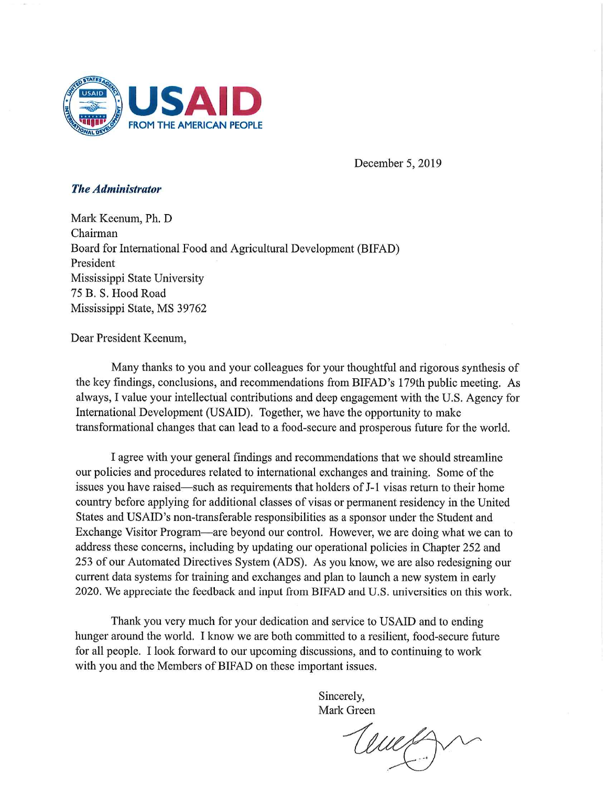

December 5, 2019

## **The Administrator**

Mark Keenum, Ph. D Chairman Board for International Food and Agricultural Development (BIFAD) President Mississippi State University 75 B. S. Hood Road Mississippi State, MS 39762

## Dear President Keenum,

Many thanks to you and your colleagues for your thoughtful and rigorous synthesis of the key findings, conclusions, and recommendations from BIFAD's 179th public meeting. As always, I value your intellectual contributions and deep engagement with the U.S. Agency for International Development (USAID). Together, we have the opportunity to make transformational changes that can lead to a food-secure and prosperous future for the world.

I agree with your general findings and recommendations that we should streamline our policies and procedures related to international exchanges and training. Some of the issues you have raised—such as requirements that holders of J-1 visas return to their home country before applying for additional classes of visas or permanent residency in the United States and USAID's non-transferable responsibilities as a sponsor under the Student and Exchange Visitor Program—are beyond our control. However, we are doing what we can to address these concerns, including by updating our operational policies in Chapter 252 and 253 of our Automated Directives System (ADS). As you know, we are also redesigning our current data systems for training and exchanges and plan to launch a new system in early 2020. We appreciate the feedback and input from BIFAD and U.S. universities on this work.

Thank you very much for your dedication and service to USAID and to ending hunger around the world. I know we are both committed to a resilient, food-secure future for all people. I look forward to our upcoming discussions, and to continuing to work with you and the Members of BIFAD on these important issues.

> Sincerely, Mark Green

Cemp